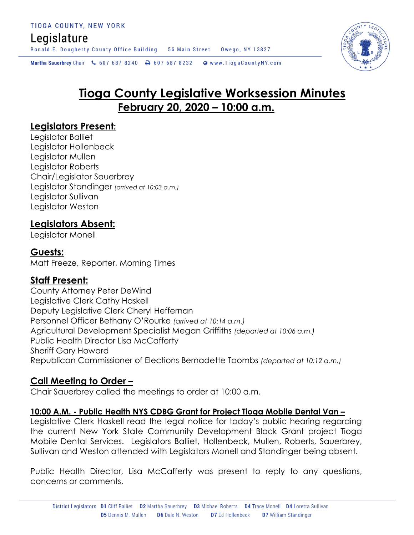# Legislature

Ronald E. Dougherty County Office Building 56 Main Street Owego, NY 13827

Martha Sauerbrey Chair & 607 687 8240 <a>B</a>607 687 8232 <a>B</a>Www.TiogaCountyNY.com

# **Tioga County Legislative Worksession Minutes February 20, 2020 – 10:00 a.m.**

#### **Legislators Present:**

Legislator Balliet Legislator Hollenbeck Legislator Mullen Legislator Roberts Chair/Legislator Sauerbrey Legislator Standinger *(arrived at 10:03 a.m.)* Legislator Sullivan Legislator Weston

#### **Legislators Absent:**

Legislator Monell

#### **Guests:**

Matt Freeze, Reporter, Morning Times

#### **Staff Present:**

County Attorney Peter DeWind Legislative Clerk Cathy Haskell Deputy Legislative Clerk Cheryl Heffernan Personnel Officer Bethany O'Rourke *(arrived at 10:14 a.m.)* Agricultural Development Specialist Megan Griffiths *(departed at 10:06 a.m.)* Public Health Director Lisa McCafferty Sheriff Gary Howard Republican Commissioner of Elections Bernadette Toombs *(departed at 10:12 a.m.)*

#### **Call Meeting to Order –**

Chair Sauerbrey called the meetings to order at 10:00 a.m.

#### **10:00 A.M. - Public Health NYS CDBG Grant for Project Tioga Mobile Dental Van –**

Legislative Clerk Haskell read the legal notice for today's public hearing regarding the current New York State Community Development Block Grant project Tioga Mobile Dental Services. Legislators Balliet, Hollenbeck, Mullen, Roberts, Sauerbrey, Sullivan and Weston attended with Legislators Monell and Standinger being absent.

Public Health Director, Lisa McCafferty was present to reply to any questions, concerns or comments.

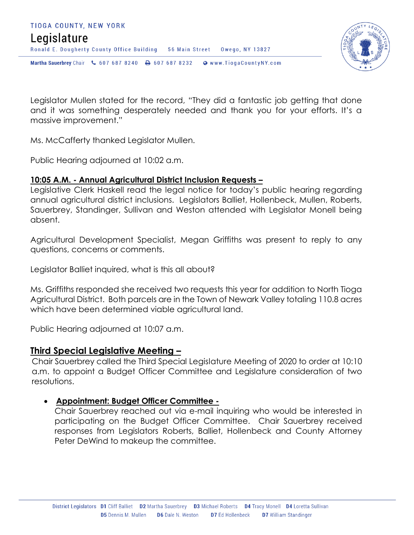

Legislator Mullen stated for the record, "They did a fantastic job getting that done and it was something desperately needed and thank you for your efforts. It's a massive improvement."

Ms. McCafferty thanked Legislator Mullen.

Public Hearing adjourned at 10:02 a.m.

#### **10:05 A.M. - Annual Agricultural District Inclusion Requests –**

Legislative Clerk Haskell read the legal notice for today's public hearing regarding annual agricultural district inclusions. Legislators Balliet, Hollenbeck, Mullen, Roberts, Sauerbrey, Standinger, Sullivan and Weston attended with Legislator Monell being absent.

Agricultural Development Specialist, Megan Griffiths was present to reply to any questions, concerns or comments.

Legislator Balliet inquired, what is this all about?

Ms. Griffiths responded she received two requests this year for addition to North Tioga Agricultural District. Both parcels are in the Town of Newark Valley totaling 110.8 acres which have been determined viable agricultural land.

Public Hearing adjourned at 10:07 a.m.

#### **Third Special Legislative Meeting –**

Chair Sauerbrey called the Third Special Legislature Meeting of 2020 to order at 10:10 a.m. to appoint a Budget Officer Committee and Legislature consideration of two resolutions.

#### **Appointment: Budget Officer Committee -**

Chair Sauerbrey reached out via e-mail inquiring who would be interested in participating on the Budget Officer Committee. Chair Sauerbrey received responses from Legislators Roberts, Balliet, Hollenbeck and County Attorney Peter DeWind to makeup the committee.